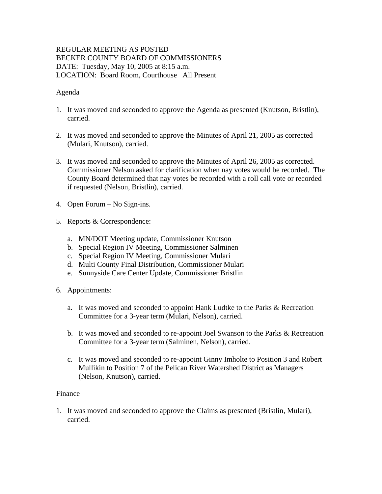# REGULAR MEETING AS POSTED BECKER COUNTY BOARD OF COMMISSIONERS DATE: Tuesday, May 10, 2005 at 8:15 a.m. LOCATION: Board Room, Courthouse All Present

## Agenda

- 1. It was moved and seconded to approve the Agenda as presented (Knutson, Bristlin), carried.
- 2. It was moved and seconded to approve the Minutes of April 21, 2005 as corrected (Mulari, Knutson), carried.
- 3. It was moved and seconded to approve the Minutes of April 26, 2005 as corrected. Commissioner Nelson asked for clarification when nay votes would be recorded. The County Board determined that nay votes be recorded with a roll call vote or recorded if requested (Nelson, Bristlin), carried.
- 4. Open Forum No Sign-ins.
- 5. Reports & Correspondence:
	- a. MN/DOT Meeting update, Commissioner Knutson
	- b. Special Region IV Meeting, Commissioner Salminen
	- c. Special Region IV Meeting, Commissioner Mulari
	- d. Multi County Final Distribution, Commissioner Mulari
	- e. Sunnyside Care Center Update, Commissioner Bristlin
- 6. Appointments:
	- a. It was moved and seconded to appoint Hank Ludtke to the Parks & Recreation Committee for a 3-year term (Mulari, Nelson), carried.
	- b. It was moved and seconded to re-appoint Joel Swanson to the Parks & Recreation Committee for a 3-year term (Salminen, Nelson), carried.
	- c. It was moved and seconded to re-appoint Ginny Imholte to Position 3 and Robert Mullikin to Position 7 of the Pelican River Watershed District as Managers (Nelson, Knutson), carried.

#### Finance

1. It was moved and seconded to approve the Claims as presented (Bristlin, Mulari), carried.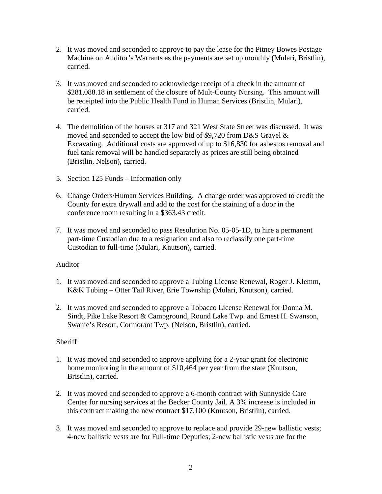- 2. It was moved and seconded to approve to pay the lease for the Pitney Bowes Postage Machine on Auditor's Warrants as the payments are set up monthly (Mulari, Bristlin), carried.
- 3. It was moved and seconded to acknowledge receipt of a check in the amount of \$281,088.18 in settlement of the closure of Mult-County Nursing. This amount will be receipted into the Public Health Fund in Human Services (Bristlin, Mulari), carried.
- 4. The demolition of the houses at 317 and 321 West State Street was discussed. It was moved and seconded to accept the low bid of \$9,720 from D&S Gravel & Excavating. Additional costs are approved of up to \$16,830 for asbestos removal and fuel tank removal will be handled separately as prices are still being obtained (Bristlin, Nelson), carried.
- 5. Section 125 Funds Information only
- 6. Change Orders/Human Services Building. A change order was approved to credit the County for extra drywall and add to the cost for the staining of a door in the conference room resulting in a \$363.43 credit.
- 7. It was moved and seconded to pass Resolution No. 05-05-1D, to hire a permanent part-time Custodian due to a resignation and also to reclassify one part-time Custodian to full-time (Mulari, Knutson), carried.

#### Auditor

- 1. It was moved and seconded to approve a Tubing License Renewal, Roger J. Klemm, K&K Tubing – Otter Tail River, Erie Township (Mulari, Knutson), carried.
- 2. It was moved and seconded to approve a Tobacco License Renewal for Donna M. Sindt, Pike Lake Resort & Campground, Round Lake Twp. and Ernest H. Swanson, Swanie's Resort, Cormorant Twp. (Nelson, Bristlin), carried.

#### **Sheriff**

- 1. It was moved and seconded to approve applying for a 2-year grant for electronic home monitoring in the amount of \$10,464 per year from the state (Knutson, Bristlin), carried.
- 2. It was moved and seconded to approve a 6-month contract with Sunnyside Care Center for nursing services at the Becker County Jail. A 3% increase is included in this contract making the new contract \$17,100 (Knutson, Bristlin), carried.
- 3. It was moved and seconded to approve to replace and provide 29-new ballistic vests; 4-new ballistic vests are for Full-time Deputies; 2-new ballistic vests are for the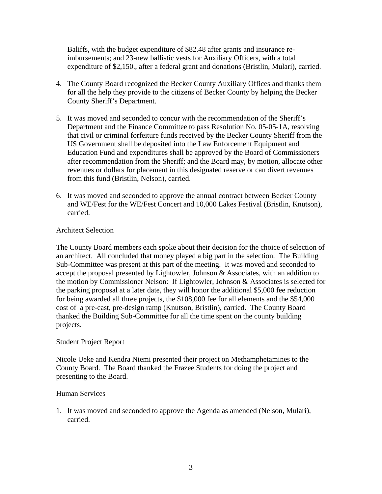Baliffs, with the budget expenditure of \$82.48 after grants and insurance reimbursements; and 23-new ballistic vests for Auxiliary Officers, with a total expenditure of \$2,150., after a federal grant and donations (Bristlin, Mulari), carried.

- 4. The County Board recognized the Becker County Auxiliary Offices and thanks them for all the help they provide to the citizens of Becker County by helping the Becker County Sheriff's Department.
- 5. It was moved and seconded to concur with the recommendation of the Sheriff's Department and the Finance Committee to pass Resolution No. 05-05-1A, resolving that civil or criminal forfeiture funds received by the Becker County Sheriff from the US Government shall be deposited into the Law Enforcement Equipment and Education Fund and expenditures shall be approved by the Board of Commissioners after recommendation from the Sheriff; and the Board may, by motion, allocate other revenues or dollars for placement in this designated reserve or can divert revenues from this fund (Bristlin, Nelson), carried.
- 6. It was moved and seconded to approve the annual contract between Becker County and WE/Fest for the WE/Fest Concert and 10,000 Lakes Festival (Bristlin, Knutson), carried.

# Architect Selection

The County Board members each spoke about their decision for the choice of selection of an architect. All concluded that money played a big part in the selection. The Building Sub-Committee was present at this part of the meeting. It was moved and seconded to accept the proposal presented by Lightowler, Johnson & Associates, with an addition to the motion by Commissioner Nelson: If Lightowler, Johnson & Associates is selected for the parking proposal at a later date, they will honor the additional \$5,000 fee reduction for being awarded all three projects, the \$108,000 fee for all elements and the \$54,000 cost of a pre-cast, pre-design ramp (Knutson, Bristlin), carried. The County Board thanked the Building Sub-Committee for all the time spent on the county building projects.

#### Student Project Report

Nicole Ueke and Kendra Niemi presented their project on Methamphetamines to the County Board. The Board thanked the Frazee Students for doing the project and presenting to the Board.

#### Human Services

1. It was moved and seconded to approve the Agenda as amended (Nelson, Mulari), carried.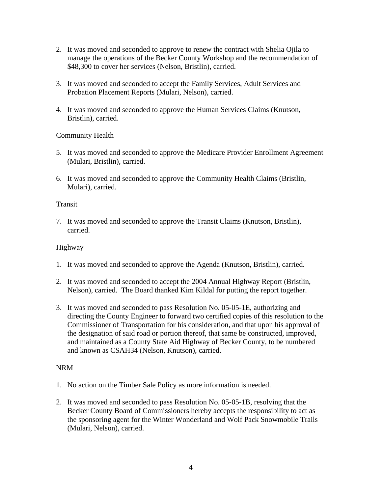- 2. It was moved and seconded to approve to renew the contract with Shelia Ojila to manage the operations of the Becker County Workshop and the recommendation of \$48,300 to cover her services (Nelson, Bristlin), carried.
- 3. It was moved and seconded to accept the Family Services, Adult Services and Probation Placement Reports (Mulari, Nelson), carried.
- 4. It was moved and seconded to approve the Human Services Claims (Knutson, Bristlin), carried.

Community Health

- 5. It was moved and seconded to approve the Medicare Provider Enrollment Agreement (Mulari, Bristlin), carried.
- 6. It was moved and seconded to approve the Community Health Claims (Bristlin, Mulari), carried.

## Transit

7. It was moved and seconded to approve the Transit Claims (Knutson, Bristlin), carried.

## Highway

- 1. It was moved and seconded to approve the Agenda (Knutson, Bristlin), carried.
- 2. It was moved and seconded to accept the 2004 Annual Highway Report (Bristlin, Nelson), carried. The Board thanked Kim Kildal for putting the report together.
- 3. It was moved and seconded to pass Resolution No. 05-05-1E, authorizing and directing the County Engineer to forward two certified copies of this resolution to the Commissioner of Transportation for his consideration, and that upon his approval of the designation of said road or portion thereof, that same be constructed, improved, and maintained as a County State Aid Highway of Becker County, to be numbered and known as CSAH34 (Nelson, Knutson), carried.

# NRM

- 1. No action on the Timber Sale Policy as more information is needed.
- 2. It was moved and seconded to pass Resolution No. 05-05-1B, resolving that the Becker County Board of Commissioners hereby accepts the responsibility to act as the sponsoring agent for the Winter Wonderland and Wolf Pack Snowmobile Trails (Mulari, Nelson), carried.